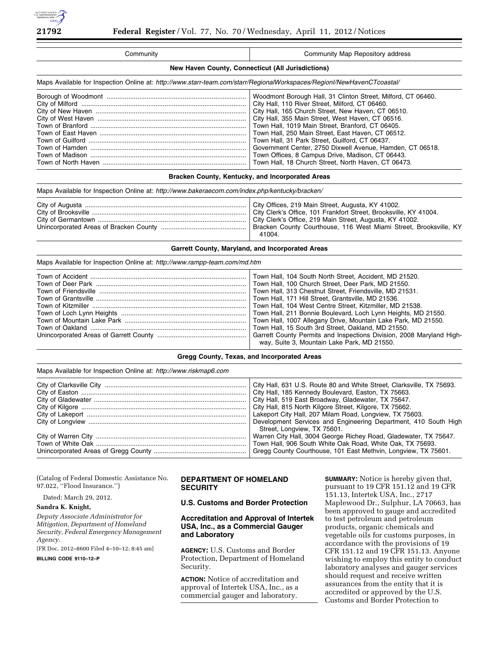

| Community                                                                                                              | Community Map Repository address                                                                                                                                                                                                                                                                                                                                                                                                                                                                                                                              |  |  |
|------------------------------------------------------------------------------------------------------------------------|---------------------------------------------------------------------------------------------------------------------------------------------------------------------------------------------------------------------------------------------------------------------------------------------------------------------------------------------------------------------------------------------------------------------------------------------------------------------------------------------------------------------------------------------------------------|--|--|
| New Haven County, Connecticut (All Jurisdictions)                                                                      |                                                                                                                                                                                                                                                                                                                                                                                                                                                                                                                                                               |  |  |
| Maps Available for Inspection Online at: http://www.starr-team.com/starr/RegionalWorkspaces/Regionl/NewHavenCTcoastal/ |                                                                                                                                                                                                                                                                                                                                                                                                                                                                                                                                                               |  |  |
|                                                                                                                        | Woodmont Borough Hall, 31 Clinton Street, Milford, CT 06460.<br>City Hall, 110 River Street, Milford, CT 06460.<br>City Hall, 165 Church Street, New Haven, CT 06510.<br>City Hall, 355 Main Street, West Haven, CT 06516.<br>Town Hall, 1019 Main Street, Branford, CT 06405.<br>Town Hall, 250 Main Street, East Haven, CT 06512.<br>Town Hall, 31 Park Street, Guilford, CT 06437.<br>Government Center, 2750 Dixwell Avenue, Hamden, CT 06518.<br>Town Offices, 8 Campus Drive, Madison, CT 06443.<br>Town Hall, 18 Church Street, North Haven, CT 06473. |  |  |
| Bracken County, Kentucky, and Incorporated Areas                                                                       |                                                                                                                                                                                                                                                                                                                                                                                                                                                                                                                                                               |  |  |

### Maps Available for Inspection Online at: *<http://www.bakeraecom.com/index.php/kentucky/bracken/>*

|  | Bracken County Courthouse, 116 West Miami Street, Brooksville, KY<br>41004. |
|--|-----------------------------------------------------------------------------|
|--|-----------------------------------------------------------------------------|

### **Garrett County, Maryland, and Incorporated Areas**

#### Maps Available for Inspection Online at: *<http://www.rampp-team.com/md.htm>*

| Town Hall, 104 South North Street, Accident, MD 21520. |
|--------------------------------------------------------|
|                                                        |
|                                                        |
|                                                        |
|                                                        |
|                                                        |
|                                                        |
|                                                        |
|                                                        |
| way, Suite 3, Mountain Lake Park, MD 21550.            |
|                                                        |

### **Gregg County, Texas, and Incorporated Areas**

|  |  | Maps Available for Inspection Online at: http://www.riskmap6.com |  |
|--|--|------------------------------------------------------------------|--|
|  |  |                                                                  |  |

| Street, Longview, TX 75601. |
|-----------------------------|
|                             |

| (Catalog of Federal Domestic Assistance No.<br>97.022, ''Flood Insurance.'') | <b>DEPARTMENT OF HOMELAND</b><br><b>SECURITY</b> | <b>SUMMARY:</b> Notice is hereby given that,<br>pursuant to 19 CFR 151.12 and 19 CFR |
|------------------------------------------------------------------------------|--------------------------------------------------|--------------------------------------------------------------------------------------|
| Dated: March 29, 2012.                                                       | U.S. Customs and Border Protection               | 151.13, Intertek USA, Inc., 2717<br>Maplewood Dr., Sulphur, LA 70663, has            |
| Sandra K. Knight,                                                            |                                                  | been approved to gauge and accredited                                                |
| Deputy Associate Administrator for                                           | <b>Accreditation and Approval of Intertek</b>    | to test petroleum and petroleum                                                      |

*Mitigation, Department of Homeland Security, Federal Emergency Management Agency.*  [FR Doc. 2012–8600 Filed 4–10–12; 8:45 am]

**BILLING CODE 9110–12–P** 

### **Accreditation and Approval of Intertek USA, Inc., as a Commercial Gauger and Laboratory**

**AGENCY:** U.S. Customs and Border Protection, Department of Homeland Security.

**ACTION:** Notice of accreditation and approval of Intertek USA, Inc., as a commercial gauger and laboratory.

to test petroleum and petroleum products, organic chemicals and vegetable oils for customs purposes, in accordance with the provisions of 19 CFR 151.12 and 19 CFR 151.13. Anyone wishing to employ this entity to conduct laboratory analyses and gauger services should request and receive written assurances from the entity that it is accredited or approved by the U.S. Customs and Border Protection to